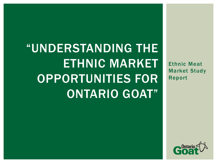"UNDERSTANDING THE ETHNIC MARKET OPPORTUNITIES FOR ONTARIO GOAT"

Ethnic Meat Market Study Report

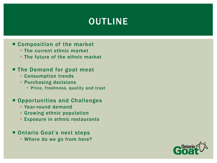# OUTLINE

#### ■ Composition of the market

- **The current ethnic market**
- **The future of the ethnic market**

#### **The Demand for goat meat**

- **Consumption trends**
- **Purchasing decisions** 
	- **Price, freshness, quality and trust**

#### ■ Opportunities and Challenges

- Year-round demand
- **Growing ethnic population**
- **Exposure in ethnic restaurants**

#### **Ontario Goat's next steps**

Where do we go from here?

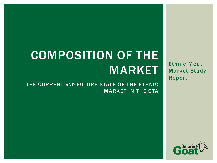Ethnic Meat Market Study Report

# COMPOSITION OF THE MARKET

THE CURRENT AND FUTURE STATE OF THE ETHNIC MARKET IN THE GTA

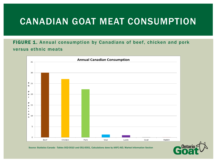# CANADIAN GOAT MEAT CONSUMPTION

#### FIGURE 1. Annual consumption by Canadians of beef, chicken and pork versus ethnic meats



Source: Statistics Canada - Tables 002-0010 and 051-0001, Calculations done by AAFC-AID, Market Information Section

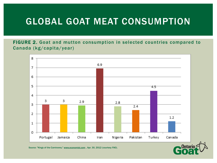# GLOBAL GOAT MEAT CONSUMPTION

FIGURE 2. Goat and mutton consumption in selected countries compared to Canada (kg/capita/year)



Source: "Kings of the Carnivores," www.economist.com , Apr. 30, 2012 (courtesy FAO).

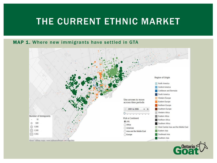## THE CURRENT ETHNIC MARKET

#### MAP 1. Where new immigrants have settled in GTA



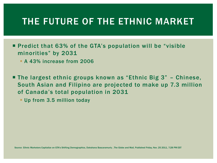## THE FUTURE OF THE ETHNIC MARKET

■ Predict that 63% of the GTA's population will be "visible" minorities" by 2031

**A 43% increase from 2006** 

 The largest ethnic groups known as "Ethnic Big 3" – Chinese, South Asian and Filipino are projected to make up 7.3 million of Canada's total population in 2031

**Up from 3.5 million today** 

Source: Ethnic Marketers Capitalize on GTA's Shifting Demographics, Dakshana Bascaramurty , The Globe and Mail, Published Friday, Nov. 25 2011, 7:28 PM EST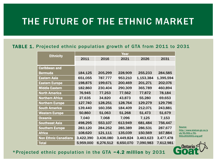# THE FUTURE OF THE ETHNIC MARKET

#### TABLE 1. Projected ethnic population growth of GTA from 2011 to 2031

| <b>Ethnicity</b>            | Year      |              |           |           |           |  |  |  |
|-----------------------------|-----------|--------------|-----------|-----------|-----------|--|--|--|
|                             | 2011      | 2016<br>2021 |           | 2026      | 2031      |  |  |  |
|                             |           |              |           |           |           |  |  |  |
| <b>Caribbean and</b>        |           |              |           |           |           |  |  |  |
| <b>Bermuda</b>              | 184,125   | 205,299      | 228,909   | 255,233   | 284,585   |  |  |  |
| <b>Eastern Asia</b>         | 651,055   | 787,777      | 953,210   | 1,153,384 | 1,395,594 |  |  |  |
| <b>Eastern Europe</b>       | 198,875   | 199,671      | 200,469   | 201,271   | 202,076   |  |  |  |
| <b>Middle Eastern</b>       | 182,860   | 230,404      | 290,309   | 365,789   | 460,894   |  |  |  |
| <b>North America</b>        | 76,945    | 77,253       | 77,562    | 77,872    | 78,184    |  |  |  |
| <b>Northern Africa</b>      | 27,635    | 34,820       | 43,873    | 55,280    | 69,653    |  |  |  |
| <b>Northern Europe</b>      | 127,740   | 128,251      | 128,764   | 129,279   | 129,796   |  |  |  |
| <b>South America</b>        | 139,440   | 160,356      | 184,409   | 212,071   | 243,881   |  |  |  |
| <b>Western Europe</b>       | 50,860    | 51,063       | 51,268    | 51,473    | 51,679    |  |  |  |
| <b>Oceania</b>              | 7,040     | 7,068        | 7,096     | 7,125     | 7,153     |  |  |  |
| <b>Southeast Asia</b>       | 498,295   | 553,107      | 613,949   | 681,484   | 756,447   |  |  |  |
| <b>Southern Europe</b>      | 283,120   | 284,252      | 285,389   | 286,531   | 287,677   |  |  |  |
| <b>Africa</b>               | 108,620   | 121,111      | 135,039   | 150,569   | 167,884   |  |  |  |
| <b>Non Ethnic Canadians</b> | 3,422,390 | 3,436,080    | 3,449,824 | 3,463,623 | 3,477,478 |  |  |  |
| <b>Total</b>                | 5,959,000 | 6,276,512    | 6,650,070 | 7,090,983 | 7,612,981 |  |  |  |

Source: http://www.statcan.gc.ca/p ub/91-551-x/91- 551x2010001-eng.pdf



\*Projected ethnic population in the GTA ~4.2 million by 2031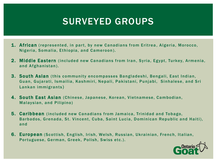## SURVEYED GROUPS

- 1. African (represented, in part, by new Canadians from Eritrea, Algeria, Morocco, Nigeria, Somalia, Ethiopia, and Cameroon ).
- 2. Middle Eastern (included new Canadians from Iran, Syria, Egypt, Turkey, Armenia, and Afghanistan).
- 3. South Asian (this community encompasses Bangladeshi, Bengali, East Indian, Guan, Gujarati, Ismailia, Kashmiri, Nepali, Pakistani, Punjabi, Sinhalese, and Sri Lankan immigrants )
- 4. South East Asian (Chinese, Japanese, Korean, Vietnamese, Cambodian, Malaysian, and Pilipino)
- 5. Caribbean (included new Canadians from Jamaica, Trinidad and Tobago, Barbados, Grenada, St. Vincent, Cuba, Saint Lucia, Dominican Republic and Haiti), and
- 6. European (Scottish, English, Irish, Welsh, Russian, Ukrainian, French, Italian, Portuguese, German, Greek, Polish, Swiss etc.).

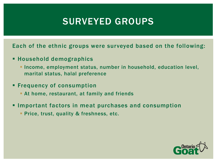# SURVEYED GROUPS

Each of the ethnic groups were surveyed based on the following:

- Household demographics
	- **Income, employment status, number in household, education level,** marital status, halal preference
- **Filter Frequency of consumption** 
	- At home, restaurant, at family and friends
- Important factors in meat purchases and consumption
	- **Price, trust, quality & freshness, etc.**

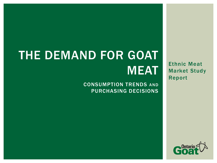# THE DEMAND FOR GOAT MEAT

#### CONSUMPTION TRENDS AND PURCHASING DECISIONS

Ethnic Meat Market Study Report

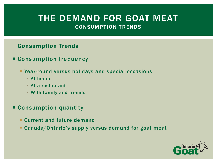#### Consumption Trends

- Consumption frequency
	- Year-round versus holidays and special occasions
		- At home
		- At a restaurant
		- With family and friends
- Consumption quantity
	- **Current and future demand**
	- Canada/Ontario's supply versus demand for goat meat

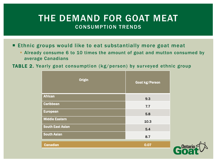- **Ethnic groups would like to eat substantially more goat meat** 
	- Already consume 6 to 10 times the amount of goat and mutton consumed by average Canadians
- TABLE 2. Yearly goat consumption (kg/person) by surveyed ethnic group

| <b>Origin</b>           | Goat kg/Person |
|-------------------------|----------------|
| <b>African</b>          | 9.3            |
| <b>Caribbean</b>        | 7.7            |
| <b>European</b>         | 5.8            |
| <b>Middle Eastern</b>   | 10.3           |
| <b>South East Asian</b> | 5.4            |
| <b>South Asian</b>      | 8.7            |
| <b>Canadian</b>         | 0.07           |

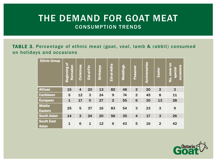TABLE 3. Percentage of ethnic meat (goat, veal, lamb & rabbit) consumed on holidays and occasions

| <b>Ethnic Group</b>               | ৳<br>Ramadan<br>Beginning | Christmas      | Eid-al-Fitr  | <b>Birthdays</b> | <u>Eid-al-Adha</u> | <b>Weddings</b> | Passover        | Anniversaries | Easter         | No, never on<br><b>occasions</b><br>special |
|-----------------------------------|---------------------------|----------------|--------------|------------------|--------------------|-----------------|-----------------|---------------|----------------|---------------------------------------------|
| <b>African</b>                    | 15                        | $\overline{4}$ | 20           | 13               | 82                 | 48              | $\overline{2}$  | 20            | $\overline{2}$ | $\mathbf{3}$                                |
| <b>Caribbean</b>                  | 5                         | 12             | 3            | 24               | 9                  | 74              | $\overline{2}$  | 45            | 8              | 11                                          |
| <b>European</b>                   | $\mathbf{1}$              | 17             | $\mathbf 0$  | 27               | $\overline{2}$     | 55              | $6\phantom{1}6$ | 30            | 13             | 28                                          |
| <b>Middle</b><br><b>Eastern</b>   | 25                        | 5              | 37           | 16               | 83                 | 54              | 3               | 23            | 3              | 9                                           |
| <b>South Asian</b>                | 14                        | 3              | 24           | 20               | 56                 | 35              | $\overline{4}$  | 17            | 3              | 26                                          |
| <b>South East</b><br><b>Asian</b> | 1                         | 6              | $\mathbf{1}$ | 12               | 6                  | 43              | 5               | 16            | $\overline{2}$ | 42                                          |

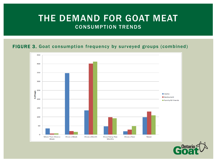#### FIGURE 3. Goat consumption frequency by surveyed groups (combined)



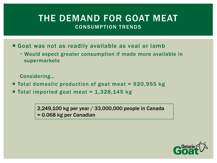- Goat was not as readily available as veal or lamb
	- Would expect greater consumption if made more available in supermarkets

Considering…

- Total domestic production of goat meat = 920,955 kg
- Total imported goat meat =  $1,328,145$  kg

2,249,100 kg per year / 33,000,000 people in Canada = 0.068 kg per Canadian

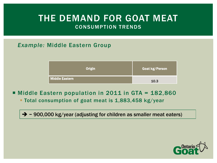#### *Example:* Middle Eastern Group

| <b>Origin</b>         | <b>Goat kg/Person</b> |
|-----------------------|-----------------------|
| <b>Middle Eastern</b> | 10.3                  |

- **Middle Eastern population in 2011 in GTA = 182,860** 
	- **Total consumption of goat meat is 1,883,458 kg/year**

 $\rightarrow$  ~ 900,000 kg/year (adjusting for children as smaller meat eaters)

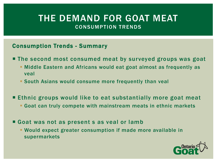#### Consumption Trends - Summary

- The second most consumed meat by surveyed groups was goat
	- Middle Eastern and Africans would eat goat almost as frequently as veal
	- South Asians would consume more frequently than veal
- Ethnic groups would like to eat substantially more goat meat
	- Goat can truly compete with mainstream meats in ethnic markets
- Goat was not as present s as veal or lamb
	- Would expect greater consumption if made more available in supermarkets

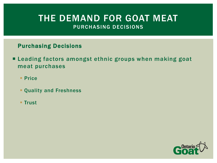#### Purchasing Decisions

- **E** Leading factors amongst ethnic groups when making goat meat purchases
	- **Price**
	- Quality and Freshness
	- **Trust**

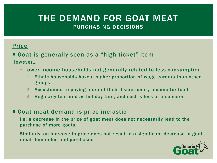#### Price

#### Goat is generally seen as a "high ticket" item

However…

- Lower Income households not generally related to less consumption
	- 1. Ethnic households have a higher proportion of wage earners than other groups
	- 2. Accustomed to paying more of their discretionary income for food
	- 3. Regularly featured as holiday fare, and cost is less of a concern

#### Goat meat demand is price inelastic

i.e. a decrease in the price of goat meat does not necessarily lead to the purchase of more goats.

Similarly, an increase in price does not result in a significant decrease in goat meat demanded and purchased

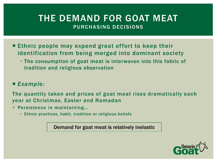- **Ethnic people may expend great effort to keep their** identification from being merged into dominant society
	- **The consumption of goat meat is interwoven into this fabric of** tradition and religious observation

#### *Example:*

The quantity taken and prices of goat meat rises dramatically each year at Christmas, Easter and Ramadan

- **Persistence in maintaining...** 
	- **Ethnic practices, habit, tradition or religious beliefs**

Demand for goat meat is relatively inelastic

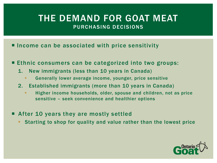- **Income can be associated with price sensitivity**
- Ethnic consumers can be categorized into two groups:
	- 1. New immigrants (less than 10 years in Canada)
		- Generally lower average income, younger, price sensitive
	- 2. Established immigrants (more than 10 years in Canada)
		- Higher income households, older, spouse and children, not as price sensitive – seek convenience and healthier options
- After 10 years they are mostly settled
	- Starting to shop for quality and value rather than the lowest price

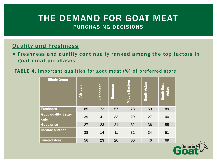#### Quality and Freshness

 Freshness and quality continually ranked among the top factors in goat meat purchases

#### TABLE 4. Important qualities for goat meat (%) of preferred store

| <b>Ethnic Group</b>                        | African | Caribbean | European | <b>Middle Eastern</b> | South Asian | South East<br>Asian |
|--------------------------------------------|---------|-----------|----------|-----------------------|-------------|---------------------|
| <b>Freshness</b>                           | 85      | 72        | 57       | 78                    | 59          | 89                  |
| <b>Good quality, Better</b><br><b>cuts</b> | 39      | 41        | 33       | 29                    | 27          | 40                  |
| <b>Good price</b>                          | 27      | 23        | 21       | 32                    | 36          | 55                  |
| In-store butcher                           | 38      | 14        | 11       | 32                    | 34          | 51                  |
| <b>Trusted store</b>                       | 56      | 23        | 20       | 60                    | 46          | 69                  |

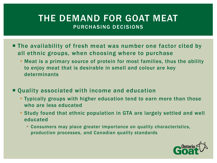- **The availability of fresh meat was number one factor cited by** all ethnic groups, when choosing where to purchase
	- Meat is a primary source of protein for most families, thus the ability to enjoy meat that is desirable in smell and colour are key determinants
- Quality associated with income and education
	- Typically groups with higher education tend to earn more than those who are less educated
	- Study found that ethnic population in GTA are largely settled and well educated
		- Consumers may place greater importance on quality characteristics, production processes, and Canadian quality standards

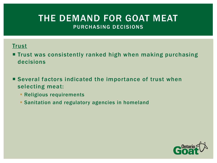#### **Trust**

**Trust was consistently ranked high when making purchasing** decisions

■ Several factors indicated the importance of trust when selecting meat:

- **Religious requirements**
- **Sanitation and regulatory agencies in homeland**

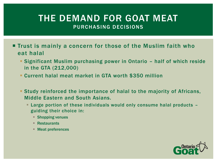- **Trust is mainly a concern for those of the Muslim faith who** eat halal
	- Significant Muslim purchasing power in Ontario half of which reside in the GTA (212,000)
	- Current halal meat market in GTA worth \$350 million
	- Study reinforced the importance of halal to the majority of Africans, Middle Eastern and South Asians.
		- Large portion of these individuals would only consume halal products guiding their choice in:
			- **Shopping venues**
			- Restaurants
			- Meat preferences

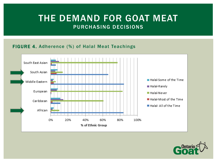#### FIGURE 4. Adherence (%) of Halal Meat Teachings



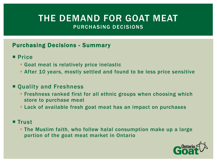#### Purchasing Decisions - Summary

- **Price** 
	- Goat meat is relatively price inelastic
	- After 10 years, mostly settled and found to be less price sensitive

#### ■ Quality and Freshness

- **Filter Freshness ranked first for all ethnic groups when choosing which** store to purchase meat
- Lack of available fresh goat meat has an impact on purchases

#### **Trust**

 The Muslim faith, who follow halal consumption make up a large portion of the goat meat market in Ontario

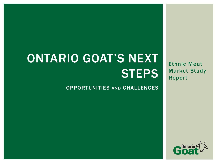# ONTARIO GOAT'S NEXT **STEPS**

#### OPPORTUNITIES AND CHALLENGES

Ethnic Meat Market Study Report

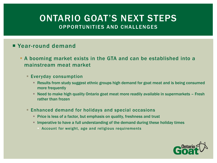#### **P** Year-round demand

- A booming market exists in the GTA and can be established into a mainstream meat market
	- **Everyday consumption** 
		- Results from study suggest ethnic groups high demand for goat meat and is being consumed more frequently
		- Need to make high quality Ontario goat meat more readily available in supermarkets Fresh rather than frozen
	- **Enhanced demand for holidays and special occasions** 
		- **Price is less of a factor, but emphasis on quality, freshness and trust**
		- **IMPERATIVE THE STAND IMM IN THE STANDE IN THE STANDER IMM** IMMORPT IMMORPT IMMORPT IMMORPT IMMORPT IMMORPT IMMORPT IMMORPT IMMORPT IMMORPT IMMORPT IMMORPT IMMORPT IMMORPT IMMORPT IMMORPT IMMORPT IMMORPT IMMORPT IMMORPT IM
			- Account for weight, age and religious requirements

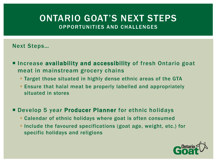#### Next Steps…

- **Increase availability and accessibility of fresh Ontario goat** meat in mainstream grocery chains
	- **Target those situated in highly dense ethnic areas of the GTA**
	- Ensure that halal meat be properly labelled and appropriately situated in stores

#### **Develop 5 year Producer Planner** for ethnic holidays

- Calendar of ethnic holidays where goat is often consumed
- **Include the favoured specifications (goat age, weight, etc.) for** specific holidays and religions

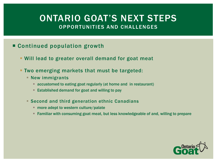#### Continued population growth

- Will lead to greater overall demand for goat meat
- Two emerging markets that must be targeted:
	- **New immigrants** 
		- accustomed to eating goat regularly (at home and in restaurant)
		- **Established demand for goat and willing to pay**
	- Second and third generation ethnic Canadians
		- **nore adept to western culture/palate**
		- Familiar with consuming goat meat, but less knowledgeable of and, willing to prepare

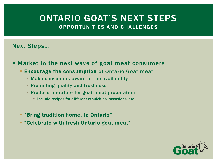#### Next Steps…

■ Market to the next wave of goat meat consumers

- **Encourage the consumption of Ontario Goat meat** 
	- **Make consumers aware of the availability**
	- **Promoting quality and freshness**
	- **Produce literature for goat meat preparation** 
		- **Include recipes for different ethnicities, occasions, etc.**
- **Earth 19 Fearth 19 Fearth 19 Fearth 19 Fearth 19 Fearth 19 Fearth 19 Fearth 19 Fearth 19 Fearth 19 Fearth 19 Fe**
- "Celebrate with fresh Ontario goat meat"

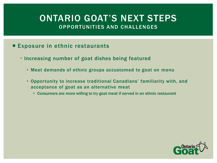- **Exposure in ethnic restaurants** 
	- **Increasing number of goat dishes being featured** 
		- Meet demands of ethnic groups accustomed to goat on menu
		- Opportunity to increase traditional Canadians' familiarity with, and acceptance of goat as an alternative meat
			- Consumers are more willing to try goat meat if served in an ethnic restaurant

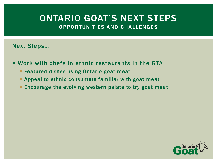#### Next Steps…

- Work with chefs in ethnic restaurants in the GTA
	- **Featured dishes using Ontario goat meat**
	- **Appeal to ethnic consumers familiar with goat meat**
	- **Encourage the evolving western palate to try goat meat**